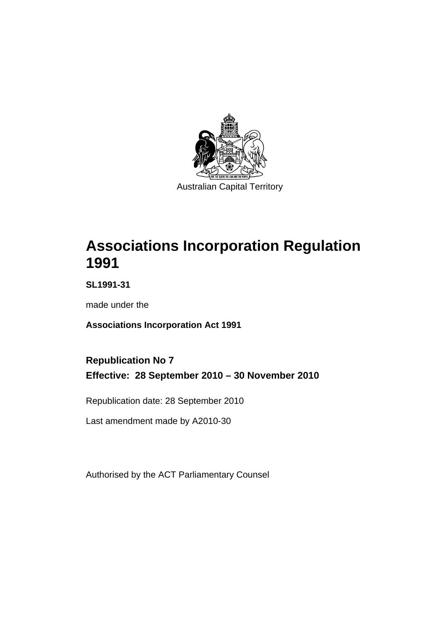

# **[Associations Incorporation Regulation](#page-6-0)  [1991](#page-6-0)**

**SL1991-31** 

made under the

**[Associations Incorporation Act 1991](#page-6-0)** 

### **Republication No 7 Effective: 28 September 2010 – 30 November 2010**

Republication date: 28 September 2010

Last amendment made by A2010-30

Authorised by the ACT Parliamentary Counsel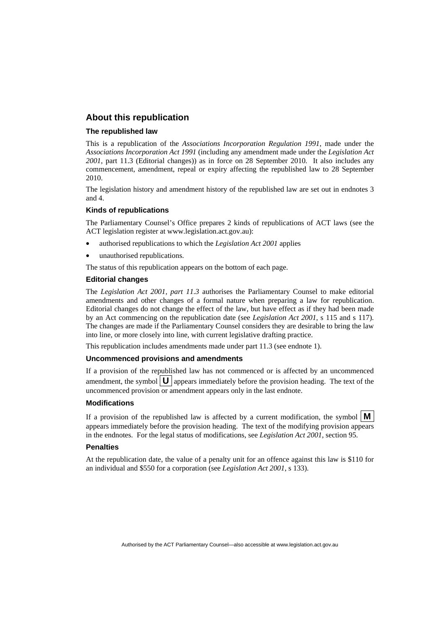#### **About this republication**

#### **The republished law**

This is a republication of the *Associations Incorporation Regulation 1991*, made under the *[Associations Incorporation Act 1991](#page-6-0)* (including any amendment made under the *Legislation Act 2001*, part 11.3 (Editorial changes)) as in force on 28 September 2010*.* It also includes any commencement, amendment, repeal or expiry affecting the republished law to 28 September 2010.

The legislation history and amendment history of the republished law are set out in endnotes 3 and 4.

#### **Kinds of republications**

The Parliamentary Counsel's Office prepares 2 kinds of republications of ACT laws (see the ACT legislation register at www.legislation.act.gov.au):

- authorised republications to which the *Legislation Act 2001* applies
- unauthorised republications.

The status of this republication appears on the bottom of each page.

#### **Editorial changes**

The *Legislation Act 2001, part 11.3* authorises the Parliamentary Counsel to make editorial amendments and other changes of a formal nature when preparing a law for republication. Editorial changes do not change the effect of the law, but have effect as if they had been made by an Act commencing on the republication date (see *Legislation Act 2001*, s 115 and s 117). The changes are made if the Parliamentary Counsel considers they are desirable to bring the law into line, or more closely into line, with current legislative drafting practice.

This republication includes amendments made under part 11.3 (see endnote 1).

#### **Uncommenced provisions and amendments**

If a provision of the republished law has not commenced or is affected by an uncommenced amendment, the symbol  $\mathbf{U}$  appears immediately before the provision heading. The text of the uncommenced provision or amendment appears only in the last endnote.

#### **Modifications**

If a provision of the republished law is affected by a current modification, the symbol  $\vert \mathbf{M} \vert$ appears immediately before the provision heading. The text of the modifying provision appears in the endnotes. For the legal status of modifications, see *Legislation Act 2001*, section 95.

#### **Penalties**

At the republication date, the value of a penalty unit for an offence against this law is \$110 for an individual and \$550 for a corporation (see *Legislation Act 2001*, s 133).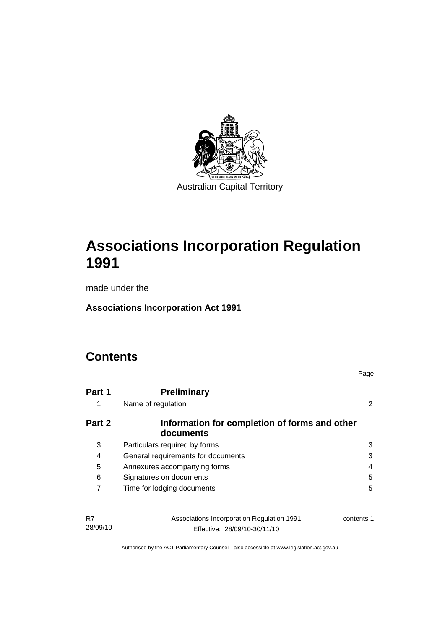

# **[Associations Incorporation Regulation](#page-6-0)  [1991](#page-6-0)**

made under the

**[Associations Incorporation Act 1991](#page-6-0)** 

### **Contents**

|                |                                                                            | Page       |
|----------------|----------------------------------------------------------------------------|------------|
| Part 1<br>1    | <b>Preliminary</b><br>Name of regulation                                   | 2          |
| Part 2         | Information for completion of forms and other<br>documents                 |            |
| 3              | Particulars required by forms                                              | 3          |
| 4              | General requirements for documents                                         | 3          |
| 5              | Annexures accompanying forms                                               | 4          |
| 6              | Signatures on documents                                                    | 5          |
| 7              | Time for lodging documents                                                 | 5          |
|                |                                                                            |            |
| R7<br>28/09/10 | Associations Incorporation Regulation 1991<br>Effective: 28/09/10-30/11/10 | contents 1 |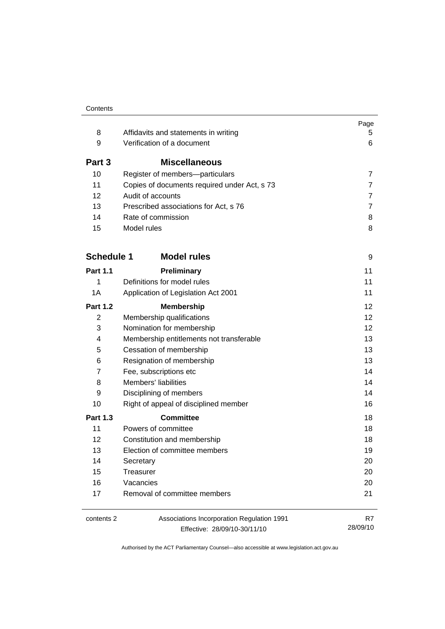|                   |                                              | Page              |
|-------------------|----------------------------------------------|-------------------|
| 8                 | Affidavits and statements in writing         | 5.                |
| 9                 | Verification of a document                   | 6                 |
| Part 3            | <b>Miscellaneous</b>                         |                   |
| 10                | Register of members-particulars              | $\overline{7}$    |
| 11                | Copies of documents required under Act, s 73 | $\overline{7}$    |
| 12                | Audit of accounts                            | $\overline{7}$    |
| 13                | Prescribed associations for Act, s 76        | $\overline{7}$    |
| 14                | Rate of commission                           | 8                 |
| 15                | Model rules                                  | 8                 |
| <b>Schedule 1</b> | <b>Model rules</b>                           | 9                 |
| <b>Part 1.1</b>   | Preliminary                                  | 11                |
| 1                 | Definitions for model rules                  | 11                |
| 1A                | Application of Legislation Act 2001          | 11                |
| <b>Part 1.2</b>   | <b>Membership</b>                            | $12 \overline{ }$ |
| $\overline{2}$    | Membership qualifications                    | 12                |
| 3                 | Nomination for membership                    | 12                |
| 4                 | Membership entitlements not transferable     | 13                |
| 5                 | Cessation of membership                      | 13                |
| 6                 | Resignation of membership                    | 13                |
| 7                 | Fee, subscriptions etc                       | 14                |
| 8                 | Members' liabilities                         | 14                |
| 9                 | Disciplining of members                      | 14                |
| 10                | Right of appeal of disciplined member        | 16                |
| <b>Part 1.3</b>   | <b>Committee</b>                             | 18                |
| 11                | Powers of committee                          | 18                |
| 12                | Constitution and membership                  | 18                |
| 13                | Election of committee members                | 19                |
| 14                | Secretary                                    | 20                |
| 15                | Treasurer                                    | 20                |
| 16                | Vacancies                                    | 20                |
| 17                | Removal of committee members                 | 21                |
| contents 2        | Associations Incorporation Regulation 1991   | R7                |
|                   | Effective: 28/09/10-30/11/10                 | 28/09/10          |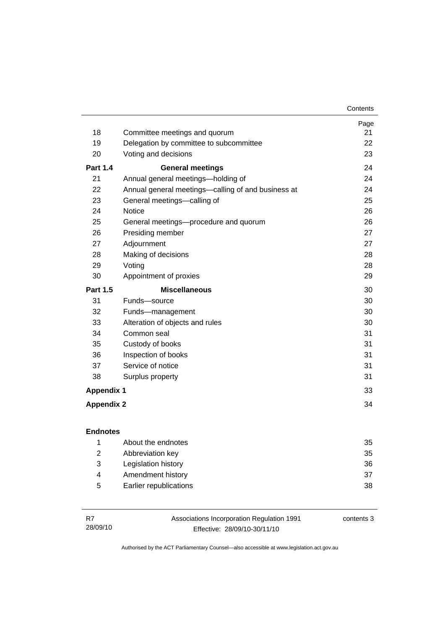|                   |                                                    | Page |
|-------------------|----------------------------------------------------|------|
| 18                | Committee meetings and quorum                      | 21   |
| 19                | Delegation by committee to subcommittee            | 22   |
| 20                | Voting and decisions                               | 23   |
| <b>Part 1.4</b>   | <b>General meetings</b>                            | 24   |
| 21                | Annual general meetings-holding of                 | 24   |
| 22                | Annual general meetings—calling of and business at | 24   |
| 23                | General meetings-calling of                        | 25   |
| 24                | <b>Notice</b>                                      | 26   |
| 25                | General meetings—procedure and quorum              | 26   |
| 26                | Presiding member                                   | 27   |
| 27                | Adjournment                                        | 27   |
| 28                | Making of decisions                                | 28   |
| 29                | Voting                                             | 28   |
| 30                | Appointment of proxies                             | 29   |
| <b>Part 1.5</b>   | <b>Miscellaneous</b>                               | 30   |
| 31                | Funds-source                                       | 30   |
| 32                | Funds-management                                   | 30   |
| 33                | Alteration of objects and rules                    | 30   |
| 34                | Common seal                                        | 31   |
| 35                | Custody of books                                   | 31   |
| 36                | Inspection of books                                | 31   |
| 37                | Service of notice                                  | 31   |
| 38                | Surplus property                                   | 31   |
| <b>Appendix 1</b> |                                                    | 33   |
| <b>Appendix 2</b> |                                                    | 34   |

|   | About the endnotes     | 35 |
|---|------------------------|----|
| 2 | Abbreviation key       | 35 |
| 3 | Legislation history    | 36 |
| 4 | Amendment history      | 37 |
| 5 | Earlier republications | 38 |

| R7       | Associations Incorporation Regulation 1991 | contents 3 |
|----------|--------------------------------------------|------------|
| 28/09/10 | Effective: 28/09/10-30/11/10               |            |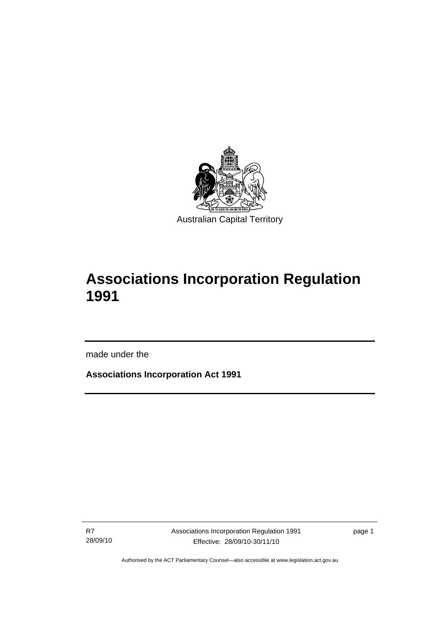<span id="page-6-0"></span>

# **Associations Incorporation Regulation 1991**

made under the

I

**Associations Incorporation Act 1991** 

R7 28/09/10

page 1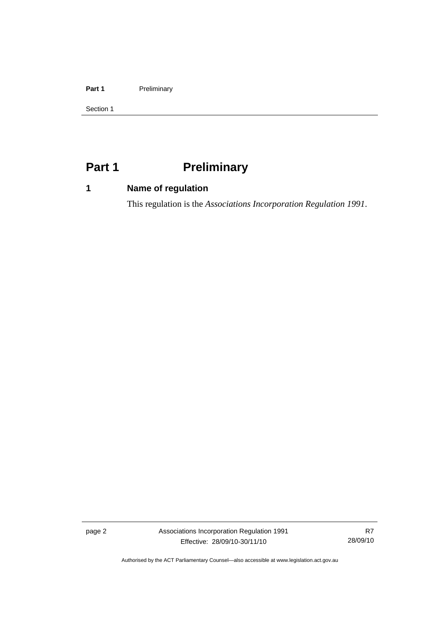#### <span id="page-7-0"></span>Part 1 **Preliminary**

Section 1

## **Part 1** Preliminary

### **1 Name of regulation**

This regulation is the *Associations Incorporation Regulation 1991*.

page 2 Associations Incorporation Regulation 1991 Effective: 28/09/10-30/11/10

R7 28/09/10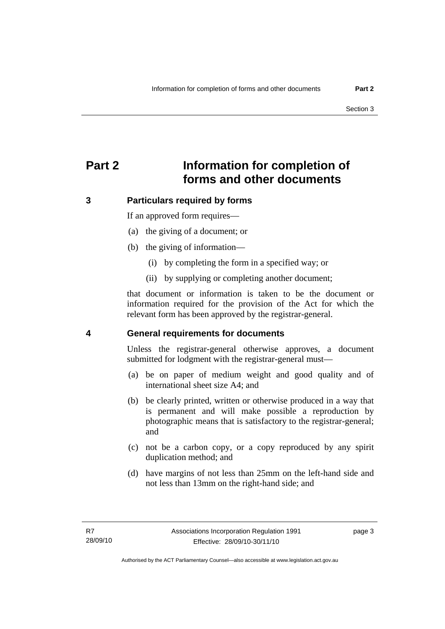### <span id="page-8-0"></span>**Part 2 Information for completion of forms and other documents**

#### **3 Particulars required by forms**

If an approved form requires—

- (a) the giving of a document; or
- (b) the giving of information—
	- (i) by completing the form in a specified way; or
	- (ii) by supplying or completing another document;

that document or information is taken to be the document or information required for the provision of the Act for which the relevant form has been approved by the registrar-general.

#### **4 General requirements for documents**

Unless the registrar-general otherwise approves, a document submitted for lodgment with the registrar-general must—

- (a) be on paper of medium weight and good quality and of international sheet size A4; and
- (b) be clearly printed, written or otherwise produced in a way that is permanent and will make possible a reproduction by photographic means that is satisfactory to the registrar-general; and
- (c) not be a carbon copy, or a copy reproduced by any spirit duplication method; and
- (d) have margins of not less than 25mm on the left-hand side and not less than 13mm on the right-hand side; and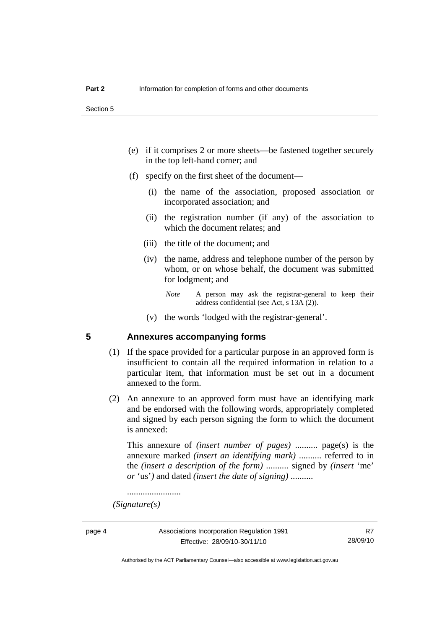- <span id="page-9-0"></span> (e) if it comprises 2 or more sheets—be fastened together securely in the top left-hand corner; and
- (f) specify on the first sheet of the document—
	- (i) the name of the association, proposed association or incorporated association; and
	- (ii) the registration number (if any) of the association to which the document relates; and
	- (iii) the title of the document; and
	- (iv) the name, address and telephone number of the person by whom, or on whose behalf, the document was submitted for lodgment; and
		- *Note* A person may ask the registrar-general to keep their address confidential (see Act, s 13A (2)).
	- (v) the words 'lodged with the registrar-general'.

#### **5 Annexures accompanying forms**

- (1) If the space provided for a particular purpose in an approved form is insufficient to contain all the required information in relation to a particular item, that information must be set out in a document annexed to the form.
- (2) An annexure to an approved form must have an identifying mark and be endorsed with the following words, appropriately completed and signed by each person signing the form to which the document is annexed:

This annexure of *(insert number of pages)* .......... page(s) is the annexure marked *(insert an identifying mark)* .......... referred to in the *(insert a description of the form)* .......... signed by *(insert* 'me' *or* 'us'*)* and dated *(insert the date of signing)* ..........

........................

 *(Signature(s)*

Authorised by the ACT Parliamentary Counsel—also accessible at www.legislation.act.gov.au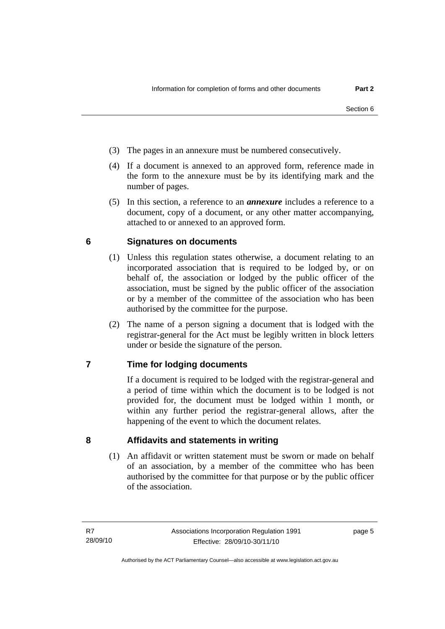- <span id="page-10-0"></span>(3) The pages in an annexure must be numbered consecutively.
- (4) If a document is annexed to an approved form, reference made in the form to the annexure must be by its identifying mark and the number of pages.
- (5) In this section, a reference to an *annexure* includes a reference to a document, copy of a document, or any other matter accompanying, attached to or annexed to an approved form.

#### **6 Signatures on documents**

- (1) Unless this regulation states otherwise, a document relating to an incorporated association that is required to be lodged by, or on behalf of, the association or lodged by the public officer of the association, must be signed by the public officer of the association or by a member of the committee of the association who has been authorised by the committee for the purpose.
- (2) The name of a person signing a document that is lodged with the registrar-general for the Act must be legibly written in block letters under or beside the signature of the person.

### **7 Time for lodging documents**

If a document is required to be lodged with the registrar-general and a period of time within which the document is to be lodged is not provided for, the document must be lodged within 1 month, or within any further period the registrar-general allows, after the happening of the event to which the document relates.

**8 Affidavits and statements in writing** 

(1) An affidavit or written statement must be sworn or made on behalf of an association, by a member of the committee who has been authorised by the committee for that purpose or by the public officer of the association.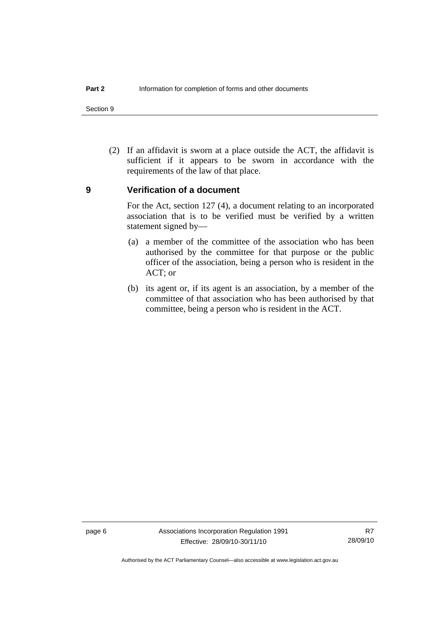<span id="page-11-0"></span>Section 9

 (2) If an affidavit is sworn at a place outside the ACT, the affidavit is sufficient if it appears to be sworn in accordance with the requirements of the law of that place.

#### **9 Verification of a document**

For the Act, section 127 (4), a document relating to an incorporated association that is to be verified must be verified by a written statement signed by—

- (a) a member of the committee of the association who has been authorised by the committee for that purpose or the public officer of the association, being a person who is resident in the ACT; or
- (b) its agent or, if its agent is an association, by a member of the committee of that association who has been authorised by that committee, being a person who is resident in the ACT.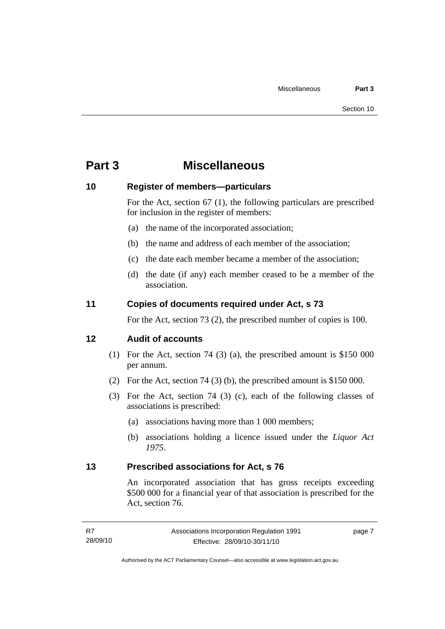### <span id="page-12-0"></span>**Part 3 Miscellaneous**

#### **10 Register of members—particulars**

For the Act, section 67 (1), the following particulars are prescribed for inclusion in the register of members:

- (a) the name of the incorporated association;
- (b) the name and address of each member of the association;
- (c) the date each member became a member of the association;
- (d) the date (if any) each member ceased to be a member of the association.

#### **11 Copies of documents required under Act, s 73**

For the Act, section 73 (2), the prescribed number of copies is 100.

#### **12 Audit of accounts**

- (1) For the Act, section 74 (3) (a), the prescribed amount is \$150 000 per annum.
- (2) For the Act, section 74 (3) (b), the prescribed amount is \$150 000.
- (3) For the Act, section 74 (3) (c), each of the following classes of associations is prescribed:
	- (a) associations having more than 1 000 members;
	- (b) associations holding a licence issued under the *Liquor Act 1975*.

#### **13 Prescribed associations for Act, s 76**

An incorporated association that has gross receipts exceeding \$500 000 for a financial year of that association is prescribed for the Act, section 76.

page 7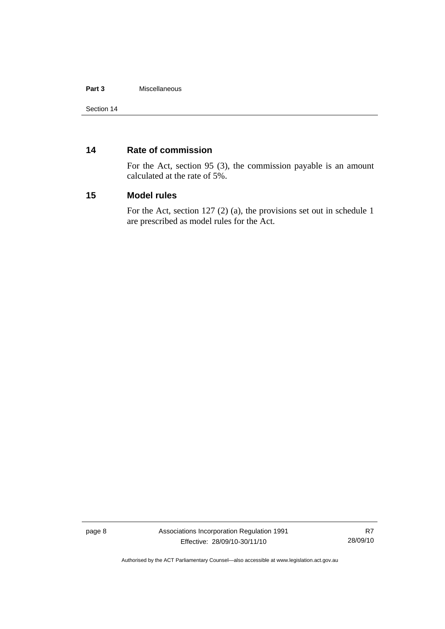#### <span id="page-13-0"></span>**Part 3** Miscellaneous

#### **14 Rate of commission**

For the Act, section 95 (3), the commission payable is an amount calculated at the rate of 5%.

#### **15 Model rules**

For the Act, section 127 (2) (a), the provisions set out in schedule 1 are prescribed as model rules for the Act.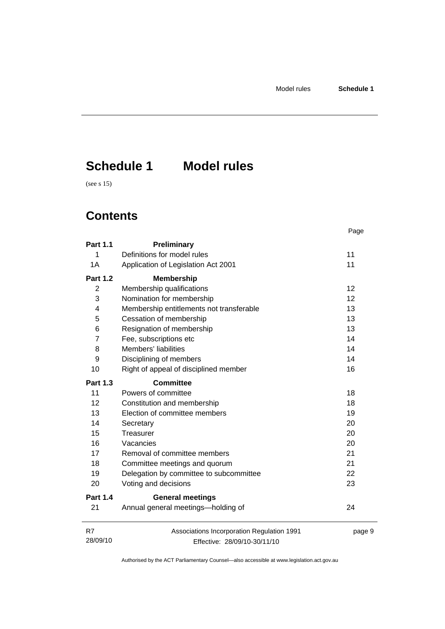# <span id="page-14-0"></span>**Schedule 1 Model rules**

(see s 15)

### **Contents**

|                 |                                            | Page   |
|-----------------|--------------------------------------------|--------|
| <b>Part 1.1</b> | Preliminary                                |        |
| 1               | Definitions for model rules                | 11     |
| 1A              | Application of Legislation Act 2001        | 11     |
| <b>Part 1.2</b> | <b>Membership</b>                          |        |
| 2               | Membership qualifications                  | 12     |
| 3               | Nomination for membership                  | 12     |
| 4               | Membership entitlements not transferable   | 13     |
| 5               | Cessation of membership                    | 13     |
| 6               | Resignation of membership                  | 13     |
| 7               | Fee, subscriptions etc                     | 14     |
| 8               | Members' liabilities                       | 14     |
| 9               | Disciplining of members                    | 14     |
| 10              | Right of appeal of disciplined member      | 16     |
| <b>Part 1.3</b> | <b>Committee</b>                           |        |
| 11              | Powers of committee                        | 18     |
| 12              | Constitution and membership                | 18     |
| 13              | Election of committee members              | 19     |
| 14              | Secretary                                  | 20     |
| 15              | Treasurer                                  | 20     |
| 16              | Vacancies                                  | 20     |
| 17              | Removal of committee members               | 21     |
| 18              | Committee meetings and quorum              | 21     |
| 19              | Delegation by committee to subcommittee    | 22     |
| 20              | Voting and decisions                       | 23     |
| <b>Part 1.4</b> | <b>General meetings</b>                    |        |
| 21              | Annual general meetings-holding of         | 24     |
| R7              | Associations Incorporation Regulation 1991 | page 9 |
| 28/09/10        | Effective: 28/09/10-30/11/10               |        |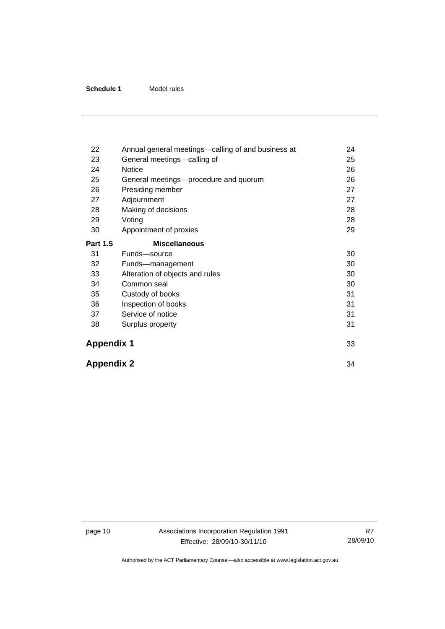| 22                | Annual general meetings-calling of and business at | 24 |
|-------------------|----------------------------------------------------|----|
| 23                | General meetings-calling of                        | 25 |
| 24                | Notice                                             | 26 |
| 25                | General meetings-procedure and quorum              | 26 |
| 26                | Presiding member                                   | 27 |
| 27                | Adjournment                                        | 27 |
| 28                | Making of decisions                                | 28 |
| 29                | Voting                                             | 28 |
| 30                | Appointment of proxies                             | 29 |
| <b>Part 1.5</b>   | <b>Miscellaneous</b>                               |    |
| 31                | Funds-source                                       | 30 |
| 32                | Funds-management                                   | 30 |
| 33                | Alteration of objects and rules                    | 30 |
| 34                | Common seal                                        | 30 |
| 35                | Custody of books                                   | 31 |
| 36                | Inspection of books                                | 31 |
| 37                | Service of notice                                  | 31 |
| 38                | Surplus property                                   | 31 |
| <b>Appendix 1</b> |                                                    | 33 |
| <b>Appendix 2</b> |                                                    | 34 |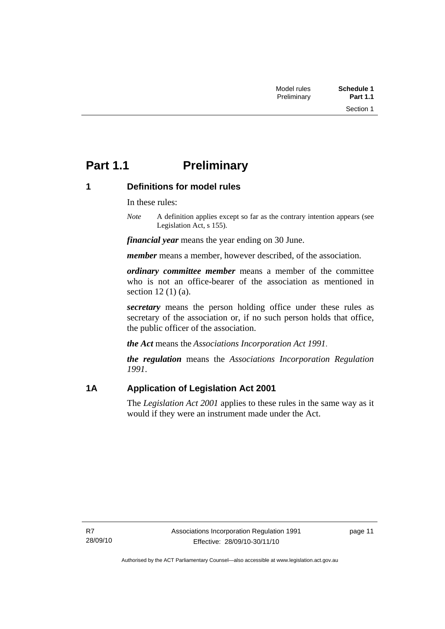### <span id="page-16-0"></span>**Part 1.1** Preliminary

### **1 Definitions for model rules**

In these rules:

*Note* A definition applies except so far as the contrary intention appears (see Legislation Act, s 155).

*financial year* means the year ending on 30 June.

*member* means a member, however described, of the association.

*ordinary committee member* means a member of the committee who is not an office-bearer of the association as mentioned in section 12 (1) (a).

*secretary* means the person holding office under these rules as secretary of the association or, if no such person holds that office, the public officer of the association.

*the Act* means the *Associations Incorporation Act 1991*.

*the regulation* means the *Associations Incorporation Regulation 1991*.

### **1A Application of Legislation Act 2001**

The *Legislation Act 2001* applies to these rules in the same way as it would if they were an instrument made under the Act.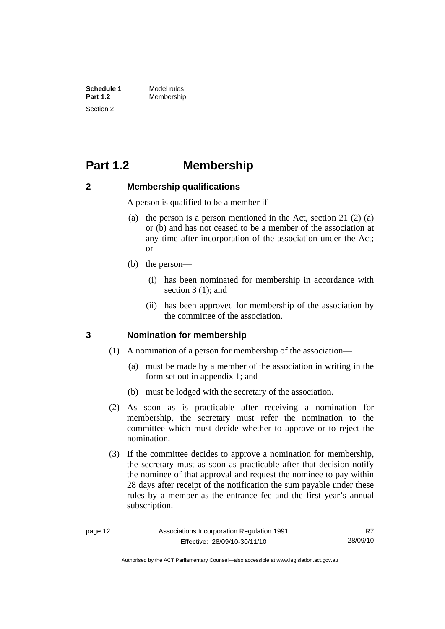<span id="page-17-0"></span>**Schedule 1** Model rules<br> **Part 1.2** Membershir **Part 1.2** Membership Section 2

### **Part 1.2 Membership**

#### **2 Membership qualifications**

A person is qualified to be a member if—

- (a) the person is a person mentioned in the Act, section 21 (2) (a) or (b) and has not ceased to be a member of the association at any time after incorporation of the association under the Act; or
- (b) the person—
	- (i) has been nominated for membership in accordance with section 3 (1); and
	- (ii) has been approved for membership of the association by the committee of the association.

### **3 Nomination for membership**

- (1) A nomination of a person for membership of the association—
	- (a) must be made by a member of the association in writing in the form set out in appendix 1; and
	- (b) must be lodged with the secretary of the association.
- (2) As soon as is practicable after receiving a nomination for membership, the secretary must refer the nomination to the committee which must decide whether to approve or to reject the nomination.

 (3) If the committee decides to approve a nomination for membership, the secretary must as soon as practicable after that decision notify the nominee of that approval and request the nominee to pay within 28 days after receipt of the notification the sum payable under these rules by a member as the entrance fee and the first year's annual subscription.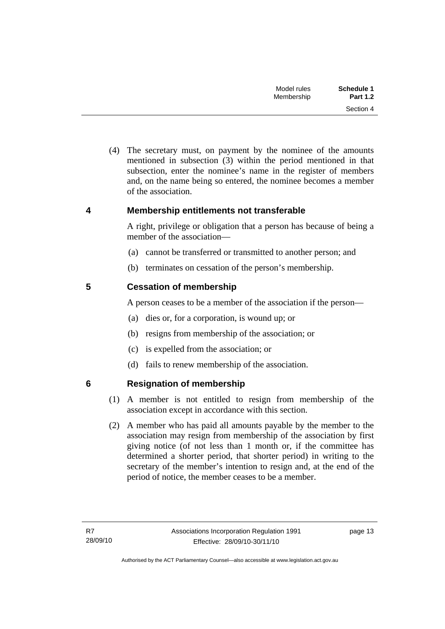| Schedule 1      | Model rules |
|-----------------|-------------|
| <b>Part 1.2</b> | Membership  |
| Section 4       |             |

<span id="page-18-0"></span> (4) The secretary must, on payment by the nominee of the amounts mentioned in subsection (3) within the period mentioned in that subsection, enter the nominee's name in the register of members and, on the name being so entered, the nominee becomes a member of the association.

#### **4 Membership entitlements not transferable**

A right, privilege or obligation that a person has because of being a member of the association—

- (a) cannot be transferred or transmitted to another person; and
- (b) terminates on cessation of the person's membership.

#### **5 Cessation of membership**

A person ceases to be a member of the association if the person—

- (a) dies or, for a corporation, is wound up; or
- (b) resigns from membership of the association; or
- (c) is expelled from the association; or
- (d) fails to renew membership of the association.

### **6 Resignation of membership**

- (1) A member is not entitled to resign from membership of the association except in accordance with this section.
- (2) A member who has paid all amounts payable by the member to the association may resign from membership of the association by first giving notice (of not less than 1 month or, if the committee has determined a shorter period, that shorter period) in writing to the secretary of the member's intention to resign and, at the end of the period of notice, the member ceases to be a member.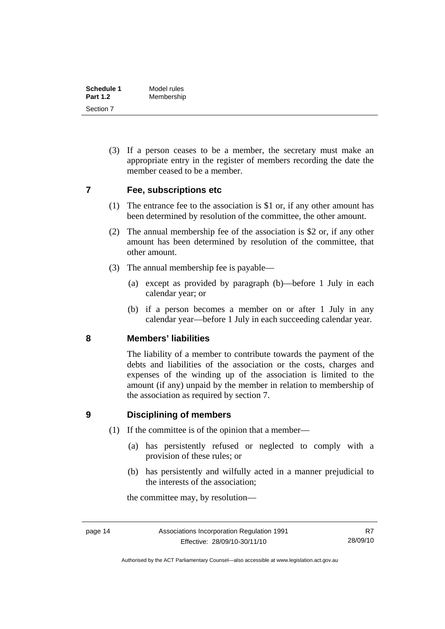<span id="page-19-0"></span>

| Schedule 1      | Model rules |
|-----------------|-------------|
| <b>Part 1.2</b> | Membership  |
| Section 7       |             |

 (3) If a person ceases to be a member, the secretary must make an appropriate entry in the register of members recording the date the member ceased to be a member.

#### **7 Fee, subscriptions etc**

- (1) The entrance fee to the association is \$1 or, if any other amount has been determined by resolution of the committee, the other amount.
- (2) The annual membership fee of the association is \$2 or, if any other amount has been determined by resolution of the committee, that other amount.
- (3) The annual membership fee is payable—
	- (a) except as provided by paragraph (b)—before 1 July in each calendar year; or
	- (b) if a person becomes a member on or after 1 July in any calendar year—before 1 July in each succeeding calendar year.

#### **8 Members' liabilities**

The liability of a member to contribute towards the payment of the debts and liabilities of the association or the costs, charges and expenses of the winding up of the association is limited to the amount (if any) unpaid by the member in relation to membership of the association as required by section 7.

#### **9 Disciplining of members**

- (1) If the committee is of the opinion that a member—
	- (a) has persistently refused or neglected to comply with a provision of these rules; or
	- (b) has persistently and wilfully acted in a manner prejudicial to the interests of the association;

the committee may, by resolution—

R7 28/09/10

Authorised by the ACT Parliamentary Counsel—also accessible at www.legislation.act.gov.au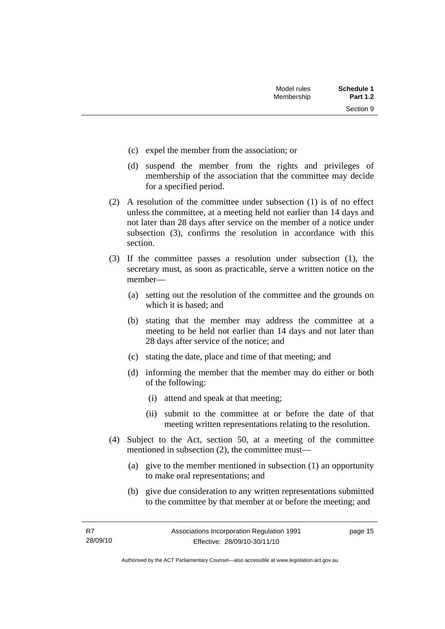Section 9

- (c) expel the member from the association; or
- (d) suspend the member from the rights and privileges of membership of the association that the committee may decide for a specified period.
- (2) A resolution of the committee under subsection (1) is of no effect unless the committee, at a meeting held not earlier than 14 days and not later than 28 days after service on the member of a notice under subsection (3), confirms the resolution in accordance with this section.
- (3) If the committee passes a resolution under subsection (1), the secretary must, as soon as practicable, serve a written notice on the member—
	- (a) setting out the resolution of the committee and the grounds on which it is based; and
	- (b) stating that the member may address the committee at a meeting to be held not earlier than 14 days and not later than 28 days after service of the notice; and
	- (c) stating the date, place and time of that meeting; and
	- (d) informing the member that the member may do either or both of the following:
		- (i) attend and speak at that meeting;
		- (ii) submit to the committee at or before the date of that meeting written representations relating to the resolution.
- (4) Subject to the Act, section 50, at a meeting of the committee mentioned in subsection (2), the committee must—
	- (a) give to the member mentioned in subsection (1) an opportunity to make oral representations; and
	- (b) give due consideration to any written representations submitted to the committee by that member at or before the meeting; and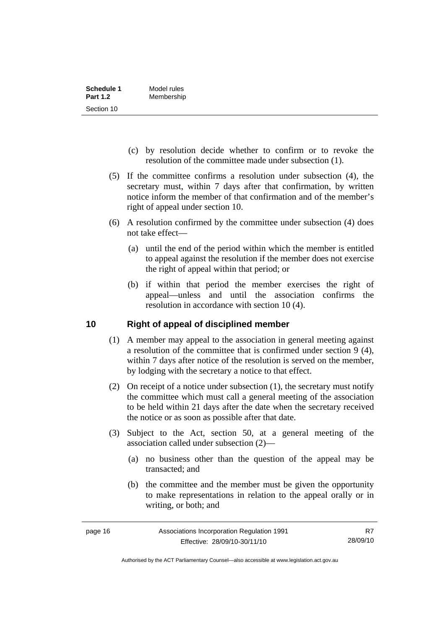<span id="page-21-0"></span>

| Schedule 1      | Model rules |
|-----------------|-------------|
| <b>Part 1.2</b> | Membership  |
| Section 10      |             |

- (c) by resolution decide whether to confirm or to revoke the resolution of the committee made under subsection (1).
- (5) If the committee confirms a resolution under subsection (4), the secretary must, within 7 days after that confirmation, by written notice inform the member of that confirmation and of the member's right of appeal under section 10.
- (6) A resolution confirmed by the committee under subsection (4) does not take effect—
	- (a) until the end of the period within which the member is entitled to appeal against the resolution if the member does not exercise the right of appeal within that period; or
	- (b) if within that period the member exercises the right of appeal—unless and until the association confirms the resolution in accordance with section 10 (4).

#### **10 Right of appeal of disciplined member**

- (1) A member may appeal to the association in general meeting against a resolution of the committee that is confirmed under section 9 (4), within 7 days after notice of the resolution is served on the member, by lodging with the secretary a notice to that effect.
- (2) On receipt of a notice under subsection (1), the secretary must notify the committee which must call a general meeting of the association to be held within 21 days after the date when the secretary received the notice or as soon as possible after that date.
- (3) Subject to the Act, section 50, at a general meeting of the association called under subsection (2)—
	- (a) no business other than the question of the appeal may be transacted; and
	- (b) the committee and the member must be given the opportunity to make representations in relation to the appeal orally or in writing, or both; and

Authorised by the ACT Parliamentary Counsel—also accessible at www.legislation.act.gov.au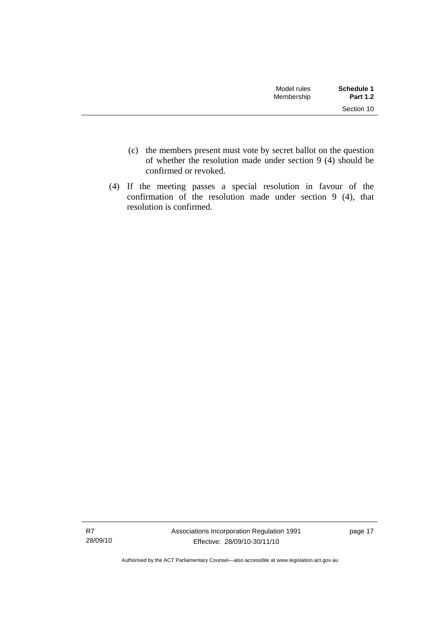| Model rules<br>Membership | Schedule 1<br><b>Part 1.2</b> |
|---------------------------|-------------------------------|
|                           | Section 10                    |

- (c) the members present must vote by secret ballot on the question of whether the resolution made under section 9 (4) should be confirmed or revoked.
- (4) If the meeting passes a special resolution in favour of the confirmation of the resolution made under section 9 (4), that resolution is confirmed.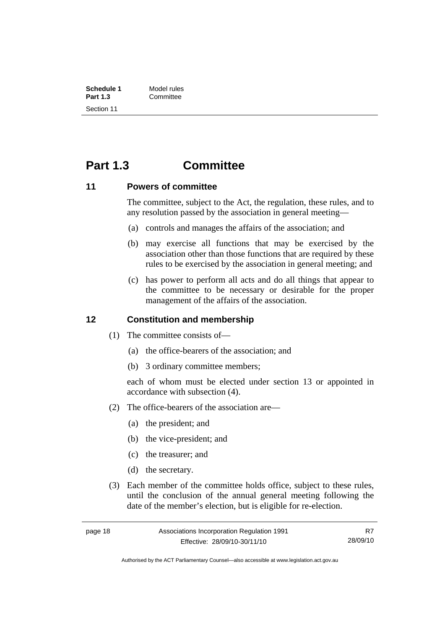<span id="page-23-0"></span>

| Schedule 1      | Model rules |
|-----------------|-------------|
| <b>Part 1.3</b> | Committee   |
| Section 11      |             |

### **Part 1.3 Committee**

#### **11 Powers of committee**

The committee, subject to the Act, the regulation, these rules, and to any resolution passed by the association in general meeting—

- (a) controls and manages the affairs of the association; and
- (b) may exercise all functions that may be exercised by the association other than those functions that are required by these rules to be exercised by the association in general meeting; and
- (c) has power to perform all acts and do all things that appear to the committee to be necessary or desirable for the proper management of the affairs of the association.

#### **12 Constitution and membership**

- (1) The committee consists of—
	- (a) the office-bearers of the association; and
	- (b) 3 ordinary committee members;

each of whom must be elected under section 13 or appointed in accordance with subsection (4).

- (2) The office-bearers of the association are—
	- (a) the president; and
	- (b) the vice-president; and
	- (c) the treasurer; and
	- (d) the secretary.
- (3) Each member of the committee holds office, subject to these rules, until the conclusion of the annual general meeting following the date of the member's election, but is eligible for re-election.

R7 28/09/10

Authorised by the ACT Parliamentary Counsel—also accessible at www.legislation.act.gov.au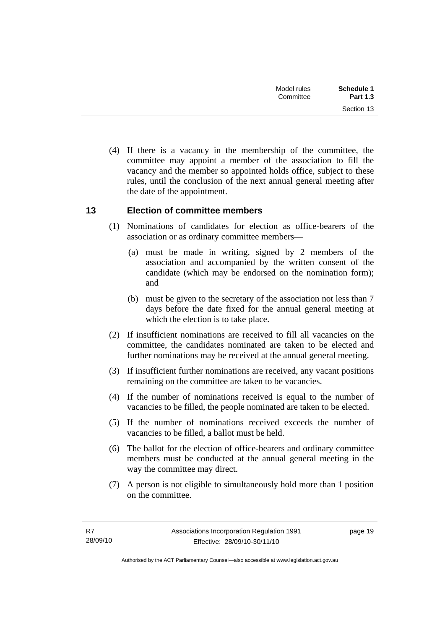<span id="page-24-0"></span>

| <b>Schedule 1</b> | Model rules |  |
|-------------------|-------------|--|
| <b>Part 1.3</b>   | Committee   |  |
| Section 13        |             |  |

 (4) If there is a vacancy in the membership of the committee, the committee may appoint a member of the association to fill the vacancy and the member so appointed holds office, subject to these rules, until the conclusion of the next annual general meeting after the date of the appointment.

#### **13 Election of committee members**

- (1) Nominations of candidates for election as office-bearers of the association or as ordinary committee members—
	- (a) must be made in writing, signed by 2 members of the association and accompanied by the written consent of the candidate (which may be endorsed on the nomination form); and
	- (b) must be given to the secretary of the association not less than 7 days before the date fixed for the annual general meeting at which the election is to take place.
- (2) If insufficient nominations are received to fill all vacancies on the committee, the candidates nominated are taken to be elected and further nominations may be received at the annual general meeting.
- (3) If insufficient further nominations are received, any vacant positions remaining on the committee are taken to be vacancies.
- (4) If the number of nominations received is equal to the number of vacancies to be filled, the people nominated are taken to be elected.
- (5) If the number of nominations received exceeds the number of vacancies to be filled, a ballot must be held.
- (6) The ballot for the election of office-bearers and ordinary committee members must be conducted at the annual general meeting in the way the committee may direct.
- (7) A person is not eligible to simultaneously hold more than 1 position on the committee.

page 19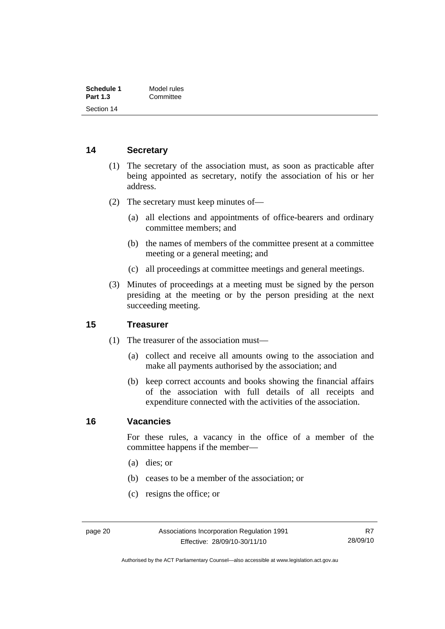<span id="page-25-0"></span>

| Schedule 1      | Model rules |
|-----------------|-------------|
| <b>Part 1.3</b> | Committee   |
| Section 14      |             |

#### **14 Secretary**

- (1) The secretary of the association must, as soon as practicable after being appointed as secretary, notify the association of his or her address.
- (2) The secretary must keep minutes of—
	- (a) all elections and appointments of office-bearers and ordinary committee members; and
	- (b) the names of members of the committee present at a committee meeting or a general meeting; and
	- (c) all proceedings at committee meetings and general meetings.
- (3) Minutes of proceedings at a meeting must be signed by the person presiding at the meeting or by the person presiding at the next succeeding meeting.

#### **15 Treasurer**

- (1) The treasurer of the association must—
	- (a) collect and receive all amounts owing to the association and make all payments authorised by the association; and
	- (b) keep correct accounts and books showing the financial affairs of the association with full details of all receipts and expenditure connected with the activities of the association.

#### **16 Vacancies**

For these rules, a vacancy in the office of a member of the committee happens if the member—

- (a) dies; or
- (b) ceases to be a member of the association; or
- (c) resigns the office; or

Authorised by the ACT Parliamentary Counsel—also accessible at www.legislation.act.gov.au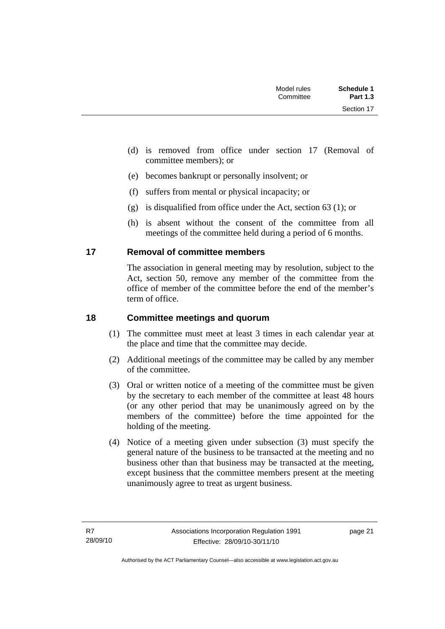<span id="page-26-0"></span>

| <b>Schedule 1</b><br><b>Part 1.3</b> | Model rules<br>Committee |  |
|--------------------------------------|--------------------------|--|
| Section 17                           |                          |  |

- (d) is removed from office under section 17 (Removal of committee members); or
- (e) becomes bankrupt or personally insolvent; or
- (f) suffers from mental or physical incapacity; or
- (g) is disqualified from office under the Act, section 63 (1); or
- (h) is absent without the consent of the committee from all meetings of the committee held during a period of 6 months.

#### **17 Removal of committee members**

The association in general meeting may by resolution, subject to the Act, section 50, remove any member of the committee from the office of member of the committee before the end of the member's term of office.

#### **18 Committee meetings and quorum**

- (1) The committee must meet at least 3 times in each calendar year at the place and time that the committee may decide.
- (2) Additional meetings of the committee may be called by any member of the committee.
- (3) Oral or written notice of a meeting of the committee must be given by the secretary to each member of the committee at least 48 hours (or any other period that may be unanimously agreed on by the members of the committee) before the time appointed for the holding of the meeting.
- (4) Notice of a meeting given under subsection (3) must specify the general nature of the business to be transacted at the meeting and no business other than that business may be transacted at the meeting, except business that the committee members present at the meeting unanimously agree to treat as urgent business.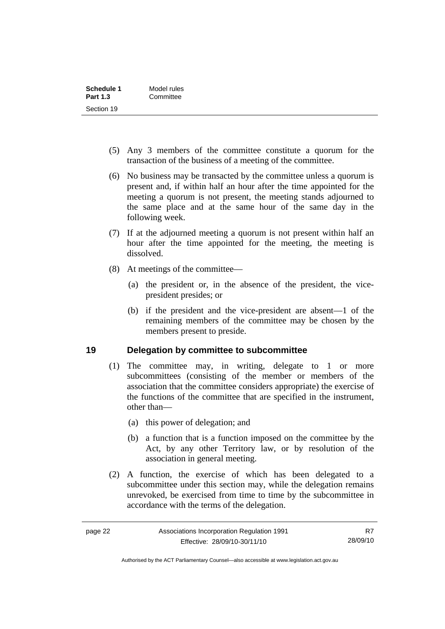<span id="page-27-0"></span>

| Schedule 1      | Model rules |
|-----------------|-------------|
| <b>Part 1.3</b> | Committee   |
| Section 19      |             |

- (5) Any 3 members of the committee constitute a quorum for the transaction of the business of a meeting of the committee.
- (6) No business may be transacted by the committee unless a quorum is present and, if within half an hour after the time appointed for the meeting a quorum is not present, the meeting stands adjourned to the same place and at the same hour of the same day in the following week.
- (7) If at the adjourned meeting a quorum is not present within half an hour after the time appointed for the meeting, the meeting is dissolved.
- (8) At meetings of the committee—
	- (a) the president or, in the absence of the president, the vicepresident presides; or
	- (b) if the president and the vice-president are absent—1 of the remaining members of the committee may be chosen by the members present to preside.

#### **19 Delegation by committee to subcommittee**

- (1) The committee may, in writing, delegate to 1 or more subcommittees (consisting of the member or members of the association that the committee considers appropriate) the exercise of the functions of the committee that are specified in the instrument, other than—
	- (a) this power of delegation; and
	- (b) a function that is a function imposed on the committee by the Act, by any other Territory law, or by resolution of the association in general meeting.
- (2) A function, the exercise of which has been delegated to a subcommittee under this section may, while the delegation remains unrevoked, be exercised from time to time by the subcommittee in accordance with the terms of the delegation.

Authorised by the ACT Parliamentary Counsel—also accessible at www.legislation.act.gov.au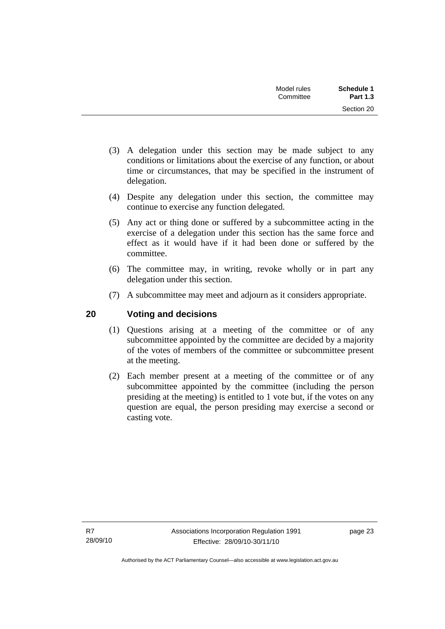| Schedule 1<br><b>Part 1.3</b> | Model rules<br>Committee |  |
|-------------------------------|--------------------------|--|
| Section 20                    |                          |  |

- <span id="page-28-0"></span> (3) A delegation under this section may be made subject to any conditions or limitations about the exercise of any function, or about time or circumstances, that may be specified in the instrument of delegation.
- (4) Despite any delegation under this section, the committee may continue to exercise any function delegated.
- (5) Any act or thing done or suffered by a subcommittee acting in the exercise of a delegation under this section has the same force and effect as it would have if it had been done or suffered by the committee.
- (6) The committee may, in writing, revoke wholly or in part any delegation under this section.
- (7) A subcommittee may meet and adjourn as it considers appropriate.

#### **20 Voting and decisions**

- (1) Questions arising at a meeting of the committee or of any subcommittee appointed by the committee are decided by a majority of the votes of members of the committee or subcommittee present at the meeting.
- (2) Each member present at a meeting of the committee or of any subcommittee appointed by the committee (including the person presiding at the meeting) is entitled to 1 vote but, if the votes on any question are equal, the person presiding may exercise a second or casting vote.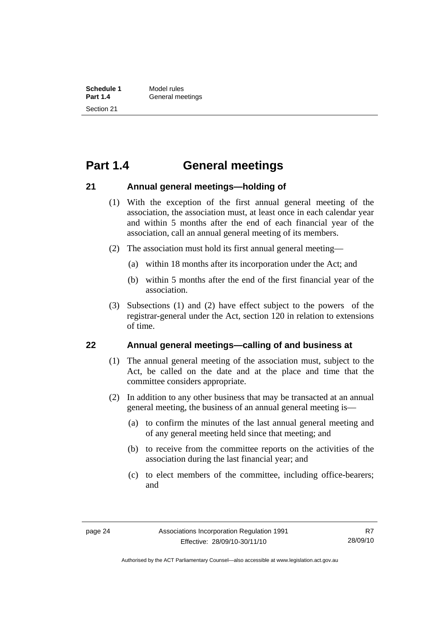### <span id="page-29-0"></span>**Part 1.4 General meetings**

#### **21 Annual general meetings—holding of**

- (1) With the exception of the first annual general meeting of the association, the association must, at least once in each calendar year and within 5 months after the end of each financial year of the association, call an annual general meeting of its members.
- (2) The association must hold its first annual general meeting—
	- (a) within 18 months after its incorporation under the Act; and
	- (b) within 5 months after the end of the first financial year of the association.
- (3) Subsections (1) and (2) have effect subject to the powers of the registrar-general under the Act, section 120 in relation to extensions of time.

#### **22 Annual general meetings—calling of and business at**

- (1) The annual general meeting of the association must, subject to the Act, be called on the date and at the place and time that the committee considers appropriate.
- (2) In addition to any other business that may be transacted at an annual general meeting, the business of an annual general meeting is—
	- (a) to confirm the minutes of the last annual general meeting and of any general meeting held since that meeting; and
	- (b) to receive from the committee reports on the activities of the association during the last financial year; and
	- (c) to elect members of the committee, including office-bearers; and

Authorised by the ACT Parliamentary Counsel—also accessible at www.legislation.act.gov.au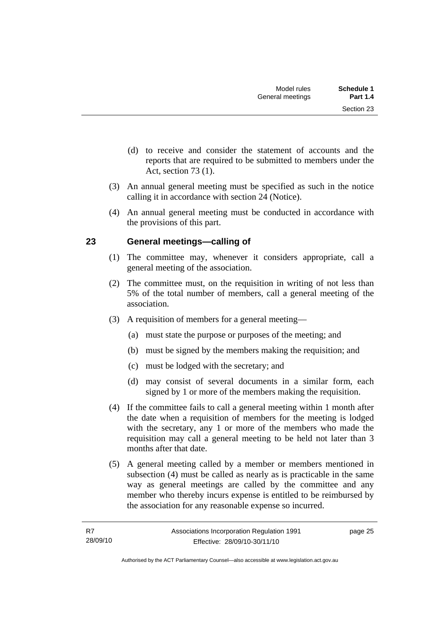- <span id="page-30-0"></span> (d) to receive and consider the statement of accounts and the reports that are required to be submitted to members under the Act, section 73 (1).
- (3) An annual general meeting must be specified as such in the notice calling it in accordance with section 24 (Notice).
- (4) An annual general meeting must be conducted in accordance with the provisions of this part.

#### **23 General meetings—calling of**

- (1) The committee may, whenever it considers appropriate, call a general meeting of the association.
- (2) The committee must, on the requisition in writing of not less than 5% of the total number of members, call a general meeting of the association.
- (3) A requisition of members for a general meeting—
	- (a) must state the purpose or purposes of the meeting; and
	- (b) must be signed by the members making the requisition; and
	- (c) must be lodged with the secretary; and
	- (d) may consist of several documents in a similar form, each signed by 1 or more of the members making the requisition.
- (4) If the committee fails to call a general meeting within 1 month after the date when a requisition of members for the meeting is lodged with the secretary, any 1 or more of the members who made the requisition may call a general meeting to be held not later than 3 months after that date.
- (5) A general meeting called by a member or members mentioned in subsection (4) must be called as nearly as is practicable in the same way as general meetings are called by the committee and any member who thereby incurs expense is entitled to be reimbursed by the association for any reasonable expense so incurred.

page 25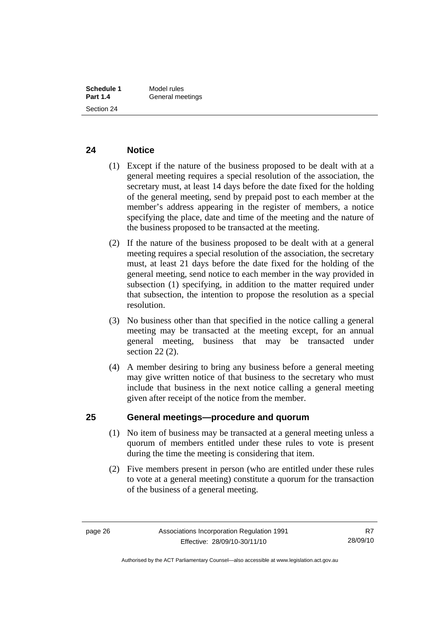#### <span id="page-31-0"></span>**24 Notice**

- (1) Except if the nature of the business proposed to be dealt with at a general meeting requires a special resolution of the association, the secretary must, at least 14 days before the date fixed for the holding of the general meeting, send by prepaid post to each member at the member's address appearing in the register of members, a notice specifying the place, date and time of the meeting and the nature of the business proposed to be transacted at the meeting.
- (2) If the nature of the business proposed to be dealt with at a general meeting requires a special resolution of the association, the secretary must, at least 21 days before the date fixed for the holding of the general meeting, send notice to each member in the way provided in subsection (1) specifying, in addition to the matter required under that subsection, the intention to propose the resolution as a special resolution.
- (3) No business other than that specified in the notice calling a general meeting may be transacted at the meeting except, for an annual general meeting, business that may be transacted under section 22 (2).
- (4) A member desiring to bring any business before a general meeting may give written notice of that business to the secretary who must include that business in the next notice calling a general meeting given after receipt of the notice from the member.

#### **25 General meetings—procedure and quorum**

- (1) No item of business may be transacted at a general meeting unless a quorum of members entitled under these rules to vote is present during the time the meeting is considering that item.
- (2) Five members present in person (who are entitled under these rules to vote at a general meeting) constitute a quorum for the transaction of the business of a general meeting.

Authorised by the ACT Parliamentary Counsel—also accessible at www.legislation.act.gov.au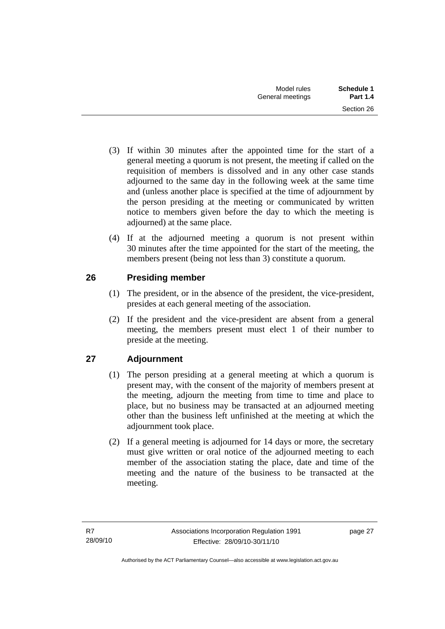- <span id="page-32-0"></span> (3) If within 30 minutes after the appointed time for the start of a general meeting a quorum is not present, the meeting if called on the requisition of members is dissolved and in any other case stands adjourned to the same day in the following week at the same time and (unless another place is specified at the time of adjournment by the person presiding at the meeting or communicated by written notice to members given before the day to which the meeting is adjourned) at the same place.
- (4) If at the adjourned meeting a quorum is not present within 30 minutes after the time appointed for the start of the meeting, the members present (being not less than 3) constitute a quorum.

### **26 Presiding member**

- (1) The president, or in the absence of the president, the vice-president, presides at each general meeting of the association.
- (2) If the president and the vice-president are absent from a general meeting, the members present must elect 1 of their number to preside at the meeting.

### **27 Adjournment**

- (1) The person presiding at a general meeting at which a quorum is present may, with the consent of the majority of members present at the meeting, adjourn the meeting from time to time and place to place, but no business may be transacted at an adjourned meeting other than the business left unfinished at the meeting at which the adjournment took place.
- (2) If a general meeting is adjourned for 14 days or more, the secretary must give written or oral notice of the adjourned meeting to each member of the association stating the place, date and time of the meeting and the nature of the business to be transacted at the meeting.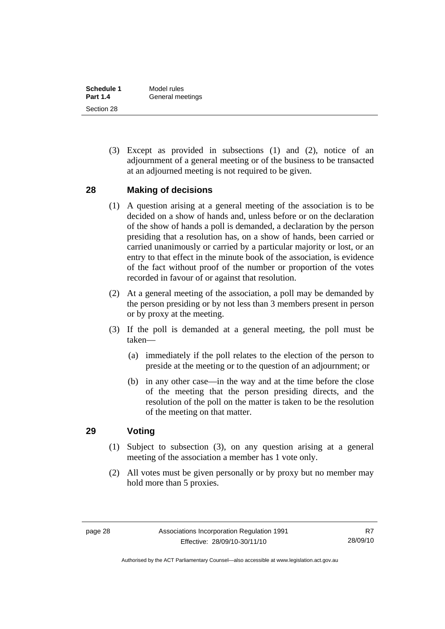<span id="page-33-0"></span>

| Schedule 1      | Model rules      |
|-----------------|------------------|
| <b>Part 1.4</b> | General meetings |
| Section 28      |                  |

 (3) Except as provided in subsections (1) and (2), notice of an adjournment of a general meeting or of the business to be transacted at an adjourned meeting is not required to be given.

#### **28 Making of decisions**

- (1) A question arising at a general meeting of the association is to be decided on a show of hands and, unless before or on the declaration of the show of hands a poll is demanded, a declaration by the person presiding that a resolution has, on a show of hands, been carried or carried unanimously or carried by a particular majority or lost, or an entry to that effect in the minute book of the association, is evidence of the fact without proof of the number or proportion of the votes recorded in favour of or against that resolution.
- (2) At a general meeting of the association, a poll may be demanded by the person presiding or by not less than 3 members present in person or by proxy at the meeting.
- (3) If the poll is demanded at a general meeting, the poll must be taken—
	- (a) immediately if the poll relates to the election of the person to preside at the meeting or to the question of an adjournment; or
	- (b) in any other case—in the way and at the time before the close of the meeting that the person presiding directs, and the resolution of the poll on the matter is taken to be the resolution of the meeting on that matter.

#### **29 Voting**

- (1) Subject to subsection (3), on any question arising at a general meeting of the association a member has 1 vote only.
- (2) All votes must be given personally or by proxy but no member may hold more than 5 proxies.

Authorised by the ACT Parliamentary Counsel—also accessible at www.legislation.act.gov.au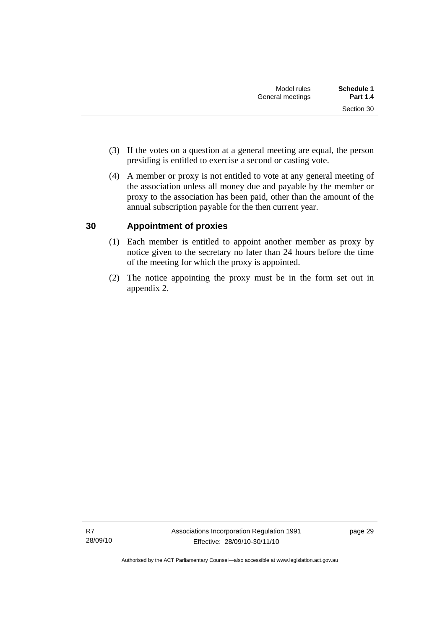- <span id="page-34-0"></span> (3) If the votes on a question at a general meeting are equal, the person presiding is entitled to exercise a second or casting vote.
- (4) A member or proxy is not entitled to vote at any general meeting of the association unless all money due and payable by the member or proxy to the association has been paid, other than the amount of the annual subscription payable for the then current year.

### **30 Appointment of proxies**

- (1) Each member is entitled to appoint another member as proxy by notice given to the secretary no later than 24 hours before the time of the meeting for which the proxy is appointed.
- (2) The notice appointing the proxy must be in the form set out in appendix 2.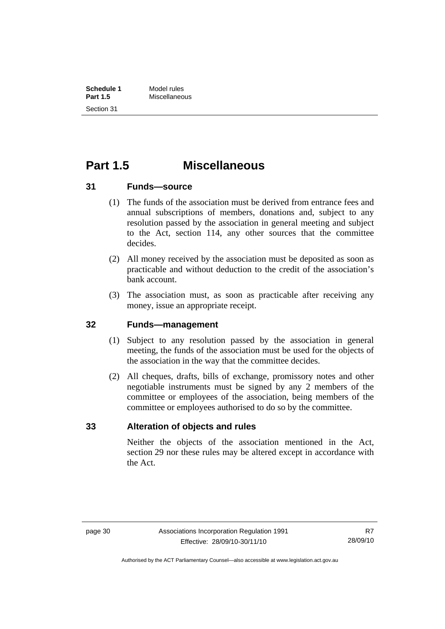<span id="page-35-0"></span>

| Schedule 1      | Model rules   |
|-----------------|---------------|
| <b>Part 1.5</b> | Miscellaneous |
| Section 31      |               |

### **Part 1.5 Miscellaneous**

#### **31 Funds—source**

- (1) The funds of the association must be derived from entrance fees and annual subscriptions of members, donations and, subject to any resolution passed by the association in general meeting and subject to the Act, section 114, any other sources that the committee decides.
- (2) All money received by the association must be deposited as soon as practicable and without deduction to the credit of the association's bank account.
- (3) The association must, as soon as practicable after receiving any money, issue an appropriate receipt.

#### **32 Funds—management**

- (1) Subject to any resolution passed by the association in general meeting, the funds of the association must be used for the objects of the association in the way that the committee decides.
- (2) All cheques, drafts, bills of exchange, promissory notes and other negotiable instruments must be signed by any 2 members of the committee or employees of the association, being members of the committee or employees authorised to do so by the committee.

#### **33 Alteration of objects and rules**

Neither the objects of the association mentioned in the Act, section 29 nor these rules may be altered except in accordance with the Act.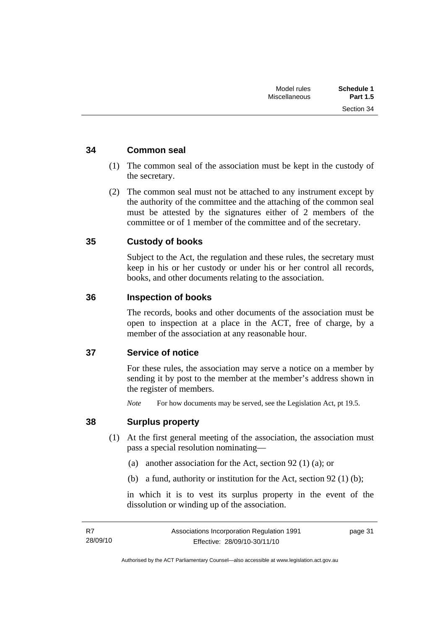Section 34

#### <span id="page-36-0"></span>**34 Common seal**

- (1) The common seal of the association must be kept in the custody of the secretary.
- (2) The common seal must not be attached to any instrument except by the authority of the committee and the attaching of the common seal must be attested by the signatures either of 2 members of the committee or of 1 member of the committee and of the secretary.

#### **35 Custody of books**

Subject to the Act, the regulation and these rules, the secretary must keep in his or her custody or under his or her control all records, books, and other documents relating to the association.

#### **36 Inspection of books**

The records, books and other documents of the association must be open to inspection at a place in the ACT, free of charge, by a member of the association at any reasonable hour.

#### **37 Service of notice**

For these rules, the association may serve a notice on a member by sending it by post to the member at the member's address shown in the register of members.

*Note* For how documents may be served, see the Legislation Act, pt 19.5.

#### **38 Surplus property**

- (1) At the first general meeting of the association, the association must pass a special resolution nominating—
	- (a) another association for the Act, section 92 (1) (a); or
	- (b) a fund, authority or institution for the Act, section 92 (1) (b);

in which it is to vest its surplus property in the event of the dissolution or winding up of the association.

page 31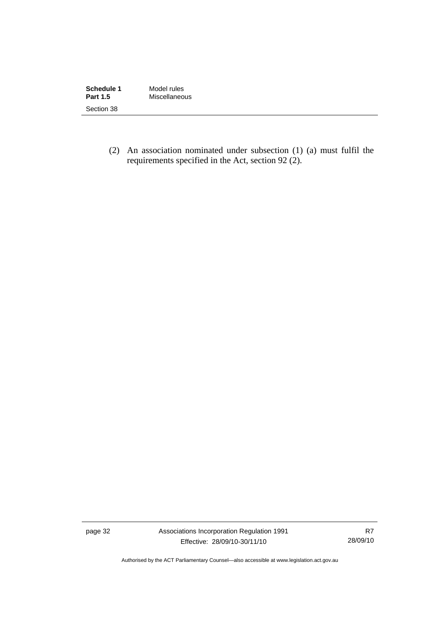| Schedule 1      | Model rules   |
|-----------------|---------------|
| <b>Part 1.5</b> | Miscellaneous |
| Section 38      |               |

 (2) An association nominated under subsection (1) (a) must fulfil the requirements specified in the Act, section 92 (2).

page 32 Associations Incorporation Regulation 1991 Effective: 28/09/10-30/11/10

R7 28/09/10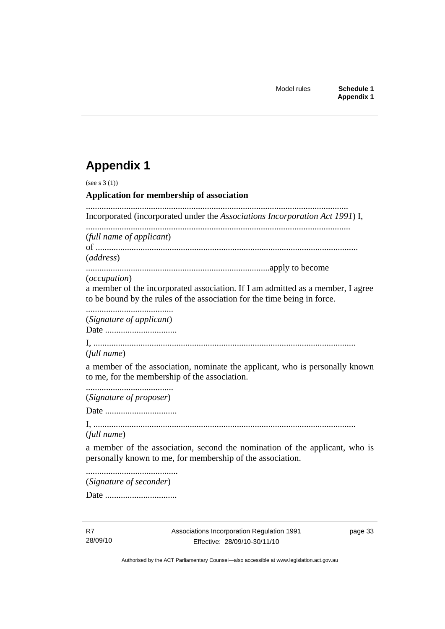## <span id="page-38-0"></span>**Appendix 1**

(see s 3 (1)) **Application for membership of association**  ..................................................................................................................... Incorporated (incorporated under the *Associations Incorporation Act 1991*) I, ...................................................................................................................... (*full name of applicant*) of ..................................................................................................................... (*address*) ..................................................................................apply to become (*occupation*) a member of the incorporated association. If I am admitted as a member, I agree to be bound by the rules of the association for the time being in force. ....................................... (*Signature of applicant*) Date ................................ I, ..................................................................................................................... (*full name*) a member of the association, nominate the applicant, who is personally known to me, for the membership of the association. ....................................... (*Signature of proposer*) Date ................................ I, ..................................................................................................................... (*full name*) a member of the association, second the nomination of the applicant, who is personally known to me, for membership of the association. ......................................... (*Signature of seconder*)

Date ................................

page 33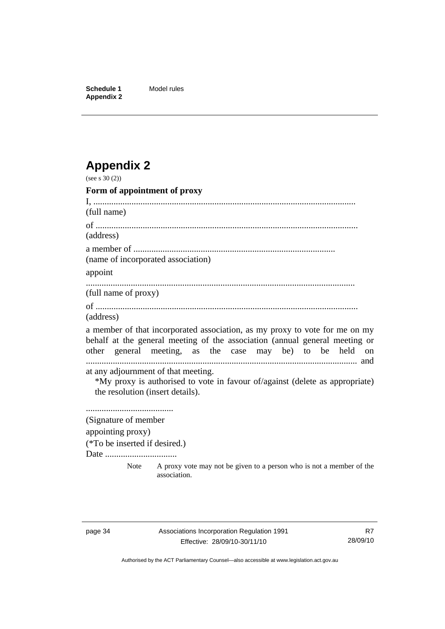<span id="page-39-0"></span>**Schedule 1** Model rules **Appendix 2** 

# **Appendix 2**

| (see s $30(2)$ )                                                        |                                                                                                                                                                                                                        |
|-------------------------------------------------------------------------|------------------------------------------------------------------------------------------------------------------------------------------------------------------------------------------------------------------------|
| Form of appointment of proxy                                            |                                                                                                                                                                                                                        |
|                                                                         |                                                                                                                                                                                                                        |
| (full name)                                                             |                                                                                                                                                                                                                        |
|                                                                         |                                                                                                                                                                                                                        |
| (address)                                                               |                                                                                                                                                                                                                        |
|                                                                         |                                                                                                                                                                                                                        |
| (name of incorporated association)                                      |                                                                                                                                                                                                                        |
| appoint                                                                 |                                                                                                                                                                                                                        |
| (full name of proxy)                                                    |                                                                                                                                                                                                                        |
| (address)                                                               |                                                                                                                                                                                                                        |
|                                                                         | a member of that incorporated association, as my proxy to vote for me on my<br>behalf at the general meeting of the association (annual general meeting or<br>other general meeting, as the case may be) to be held on |
| at any adjournment of that meeting.<br>the resolution (insert details). | *My proxy is authorised to vote in favour of/against (delete as appropriate)                                                                                                                                           |
|                                                                         |                                                                                                                                                                                                                        |
| (Signature of member                                                    |                                                                                                                                                                                                                        |
| appointing proxy)                                                       |                                                                                                                                                                                                                        |
| (*To be inserted if desired.)                                           |                                                                                                                                                                                                                        |
| Date                                                                    |                                                                                                                                                                                                                        |
| Note                                                                    | A proxy vote may not be given to a person who is not a member of the<br>association.                                                                                                                                   |

Authorised by the ACT Parliamentary Counsel—also accessible at www.legislation.act.gov.au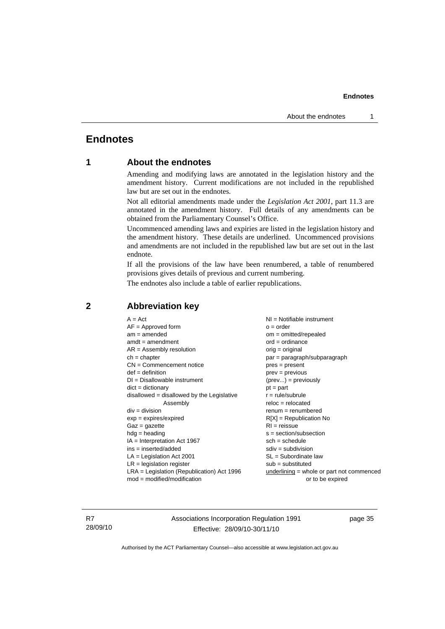#### <span id="page-40-0"></span>**Endnotes**

#### **1 About the endnotes**

Amending and modifying laws are annotated in the legislation history and the amendment history. Current modifications are not included in the republished law but are set out in the endnotes.

Not all editorial amendments made under the *Legislation Act 2001*, part 11.3 are annotated in the amendment history. Full details of any amendments can be obtained from the Parliamentary Counsel's Office.

Uncommenced amending laws and expiries are listed in the legislation history and the amendment history. These details are underlined. Uncommenced provisions and amendments are not included in the republished law but are set out in the last endnote.

If all the provisions of the law have been renumbered, a table of renumbered provisions gives details of previous and current numbering.

The endnotes also include a table of earlier republications.

| $A = Act$<br>$AF =$ Approved form            | $NI = Notifiable$ instrument<br>$o = order$ |
|----------------------------------------------|---------------------------------------------|
| $am = amended$                               | $om = omitted/report$                       |
| $amdt = amendment$                           | $ord = ordinance$                           |
| $AR = Assembly resolution$                   | $orig = original$                           |
| $ch = chapter$                               | par = paragraph/subparagraph                |
| $CN =$ Commencement notice                   | $pres = present$                            |
| $def = definition$                           | $prev = previous$                           |
| $DI = Disallowable instrument$               | $(\text{prev}) = \text{previously}$         |
| $dict = dictionary$                          | $pt = part$                                 |
| disallowed = disallowed by the Legislative   | $r = rule/subrule$                          |
| Assembly                                     | $reloc = relocated$                         |
| $div = division$                             | $remum = renumbered$                        |
| $exp = expires/expired$                      | $R[X]$ = Republication No                   |
| $Gaz = gazette$                              | $RI = reissue$                              |
| $hdg =$ heading                              | $s = section/subsection$                    |
| $IA = Interpretation Act 1967$               | $sch = schedule$                            |
| $ins = inserted/added$                       | $sdiv = subdivision$                        |
| $LA =$ Legislation Act 2001                  | $SL = Subordinate$ law                      |
| $LR =$ legislation register                  | $sub =$ substituted                         |
| $LRA =$ Legislation (Republication) Act 1996 | underlining = whole or part not commenced   |
| $mod = modified/modification$                | or to be expired                            |

#### **2 Abbreviation key**

R7 28/09/10 Associations Incorporation Regulation 1991 Effective: 28/09/10-30/11/10

page 35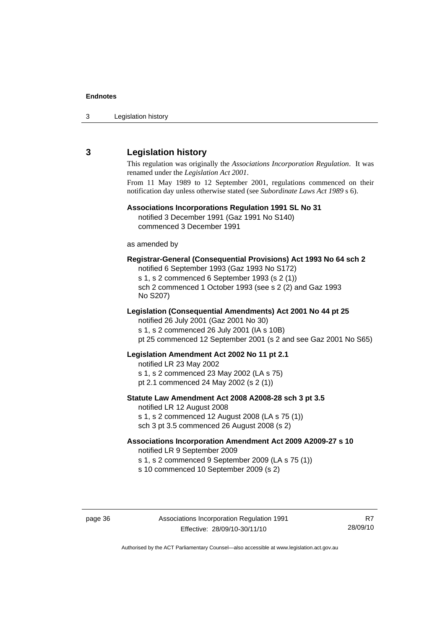<span id="page-41-0"></span>3 Legislation history

#### **3 Legislation history**

This regulation was originally the *Associations Incorporation Regulation*. It was renamed under the *Legislation Act 2001*.

From 11 May 1989 to 12 September 2001, regulations commenced on their notification day unless otherwise stated (see *Subordinate Laws Act 1989* s 6).

#### **Associations Incorporations Regulation 1991 SL No 31**

notified 3 December 1991 (Gaz 1991 No S140) commenced 3 December 1991

as amended by

#### **Registrar-General (Consequential Provisions) Act 1993 No 64 sch 2**

notified 6 September 1993 (Gaz 1993 No S172) s 1, s 2 commenced 6 September 1993 (s 2 (1)) sch 2 commenced 1 October 1993 (see s 2 (2) and Gaz 1993 No S207)

#### **Legislation (Consequential Amendments) Act 2001 No 44 pt 25**

notified 26 July 2001 (Gaz 2001 No 30) s 1, s 2 commenced 26 July 2001 (IA s 10B) pt 25 commenced 12 September 2001 (s 2 and see Gaz 2001 No S65)

#### **Legislation Amendment Act 2002 No 11 pt 2.1**

notified LR 23 May 2002

s 1, s 2 commenced 23 May 2002 (LA s 75)

pt 2.1 commenced 24 May 2002 (s 2 (1))

#### **Statute Law Amendment Act 2008 A2008-28 sch 3 pt 3.5**

notified LR 12 August 2008 s 1, s 2 commenced 12 August 2008 (LA s 75 (1)) sch 3 pt 3.5 commenced 26 August 2008 (s 2)

#### **Associations Incorporation Amendment Act 2009 A2009-27 s 10**

notified LR 9 September 2009

s 1, s 2 commenced 9 September 2009 (LA s 75 (1))

s 10 commenced 10 September 2009 (s 2)

R7 28/09/10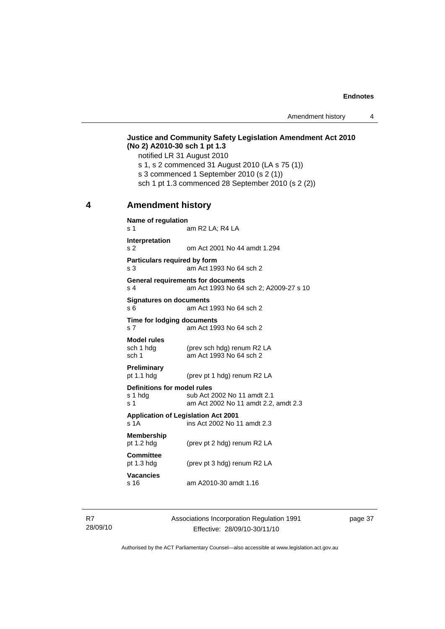#### <span id="page-42-0"></span>**Justice and Community Safety Legislation Amendment Act 2010 (No 2) A2010-30 sch 1 pt 1.3**

notified LR 31 August 2010

- s 1, s 2 commenced 31 August 2010 (LA s 75 (1))
- s 3 commenced 1 September 2010 (s 2 (1))
- sch 1 pt 1.3 commenced 28 September 2010 (s 2 (2))

#### **4 Amendment history**

| Name of regulation<br>am R2 LA; R4 LA<br>s 1 |                                                                           |  |
|----------------------------------------------|---------------------------------------------------------------------------|--|
|                                              |                                                                           |  |
| Interpretation<br>s <sub>2</sub>             | om Act 2001 No 44 amdt 1.294                                              |  |
| Particulars required by form                 |                                                                           |  |
| s 3                                          | am Act 1993 No 64 sch 2                                                   |  |
| <b>General requirements for documents</b>    |                                                                           |  |
| s 4                                          | am Act 1993 No 64 sch 2; A2009-27 s 10                                    |  |
| <b>Signatures on documents</b>               |                                                                           |  |
| s 6                                          | am Act 1993 No 64 sch 2                                                   |  |
| Time for lodging documents                   |                                                                           |  |
| s <sub>7</sub>                               | am Act 1993 No 64 sch 2                                                   |  |
| <b>Model rules</b>                           |                                                                           |  |
| sch 1 hdg                                    | (prev sch hdg) renum R2 LA                                                |  |
| sch 1                                        | am Act 1993 No 64 sch 2                                                   |  |
| Preliminary                                  |                                                                           |  |
| pt $1.1$ hdg                                 | (prev pt 1 hdg) renum R2 LA                                               |  |
| Definitions for model rules                  |                                                                           |  |
| s 1 hda<br>s 1                               | sub Act 2002 No 11 amdt 2.1<br>am Act 2002 No 11 amdt 2.2, amdt 2.3       |  |
|                                              |                                                                           |  |
| s <sub>1</sub> A                             | <b>Application of Legislation Act 2001</b><br>ins Act 2002 No 11 amdt 2.3 |  |
| <b>Membership</b>                            |                                                                           |  |
| pt 1.2 hdg                                   | (prev pt 2 hdg) renum R2 LA                                               |  |
| <b>Committee</b>                             |                                                                           |  |
| pt $1.3$ hdg                                 | (prev pt 3 hdg) renum R2 LA                                               |  |
| <b>Vacancies</b>                             |                                                                           |  |
| s 16                                         | am A2010-30 amdt 1.16                                                     |  |
|                                              |                                                                           |  |

R7 28/09/10 Associations Incorporation Regulation 1991 Effective: 28/09/10-30/11/10

page 37